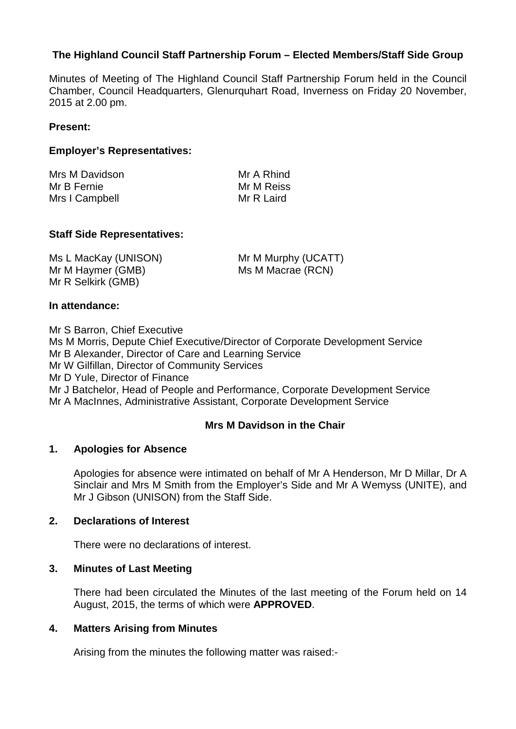## **The Highland Council Staff Partnership Forum – Elected Members/Staff Side Group**

Minutes of Meeting of The Highland Council Staff Partnership Forum held in the Council Chamber, Council Headquarters, Glenurquhart Road, Inverness on Friday 20 November, 2015 at 2.00 pm.

#### **Present:**

### **Employer's Representatives:**

| Mrs M Davidson | Mr A Rhind |
|----------------|------------|
| Mr B Fernie    | Mr M Reiss |
| Mrs I Campbell | Mr R Laird |

#### **Staff Side Representatives:**

Ms L MacKay (UNISON) Mr M Haymer (GMB) Mr R Selkirk (GMB)

Mr M Murphy (UCATT) Ms M Macrae (RCN)

#### **In attendance:**

Mr S Barron, Chief Executive Ms M Morris, Depute Chief Executive/Director of Corporate Development Service Mr B Alexander, Director of Care and Learning Service Mr W Gilfillan, Director of Community Services Mr D Yule, Director of Finance Mr J Batchelor, Head of People and Performance, Corporate Development Service Mr A MacInnes, Administrative Assistant, Corporate Development Service

#### **Mrs M Davidson in the Chair**

#### **1. Apologies for Absence**

Apologies for absence were intimated on behalf of Mr A Henderson, Mr D Millar, Dr A Sinclair and Mrs M Smith from the Employer's Side and Mr A Wemyss (UNITE), and Mr J Gibson (UNISON) from the Staff Side.

#### **2. Declarations of Interest**

There were no declarations of interest.

#### **3. Minutes of Last Meeting**

There had been circulated the Minutes of the last meeting of the Forum held on 14 August, 2015, the terms of which were **APPROVED**.

#### **4. Matters Arising from Minutes**

Arising from the minutes the following matter was raised:-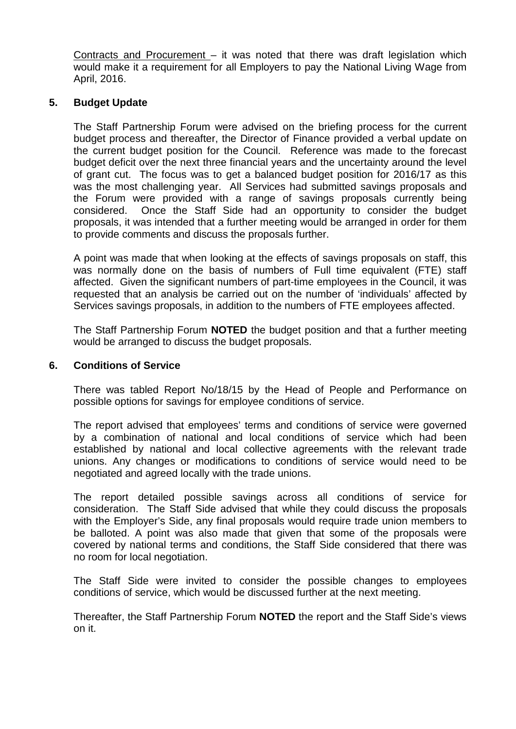Contracts and Procurement – it was noted that there was draft legislation which would make it a requirement for all Employers to pay the National Living Wage from April, 2016.

## **5. Budget Update**

The Staff Partnership Forum were advised on the briefing process for the current budget process and thereafter, the Director of Finance provided a verbal update on the current budget position for the Council. Reference was made to the forecast budget deficit over the next three financial years and the uncertainty around the level of grant cut. The focus was to get a balanced budget position for 2016/17 as this was the most challenging year. All Services had submitted savings proposals and the Forum were provided with a range of savings proposals currently being considered. Once the Staff Side had an opportunity to consider the budget proposals, it was intended that a further meeting would be arranged in order for them to provide comments and discuss the proposals further.

A point was made that when looking at the effects of savings proposals on staff, this was normally done on the basis of numbers of Full time equivalent (FTE) staff affected. Given the significant numbers of part-time employees in the Council, it was requested that an analysis be carried out on the number of 'individuals' affected by Services savings proposals, in addition to the numbers of FTE employees affected.

The Staff Partnership Forum **NOTED** the budget position and that a further meeting would be arranged to discuss the budget proposals.

### **6. Conditions of Service**

There was tabled Report No/18/15 by the Head of People and Performance on possible options for savings for employee conditions of service.

The report advised that employees' terms and conditions of service were governed by a combination of national and local conditions of service which had been established by national and local collective agreements with the relevant trade unions. Any changes or modifications to conditions of service would need to be negotiated and agreed locally with the trade unions.

The report detailed possible savings across all conditions of service for consideration. The Staff Side advised that while they could discuss the proposals with the Employer's Side, any final proposals would require trade union members to be balloted. A point was also made that given that some of the proposals were covered by national terms and conditions, the Staff Side considered that there was no room for local negotiation.

The Staff Side were invited to consider the possible changes to employees conditions of service, which would be discussed further at the next meeting.

Thereafter, the Staff Partnership Forum **NOTED** the report and the Staff Side's views on it.